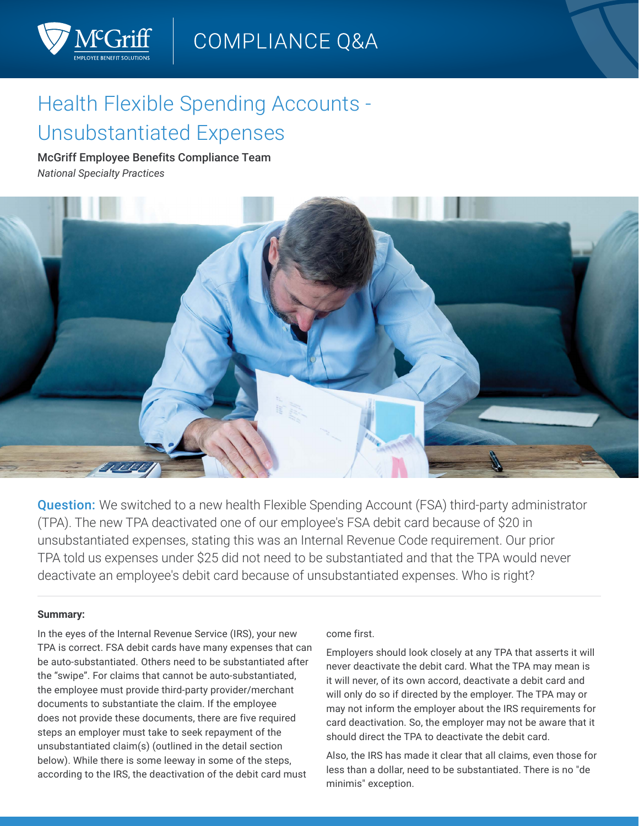

# Health Flexible Spending Accounts - Unsubstantiated Expenses

## McGriff Employee Benefits Compliance Team *National Specialty Practices*



**Question:** We switched to a new health Flexible Spending Account (FSA) third-party administrator (TPA). The new TPA deactivated one of our employee's FSA debit card because of \$20 in unsubstantiated expenses, stating this was an Internal Revenue Code requirement. Our prior TPA told us expenses under \$25 did not need to be substantiated and that the TPA would never deactivate an employee's debit card because of unsubstantiated expenses. Who is right?

#### **Summary:**

In the eyes of the Internal Revenue Service (IRS), your new TPA is correct. FSA debit cards have many expenses that can be auto-substantiated. Others need to be substantiated after the "swipe". For claims that cannot be auto-substantiated, the employee must provide third-party provider/merchant documents to substantiate the claim. If the employee does not provide these documents, there are five required steps an employer must take to seek repayment of the unsubstantiated claim(s) (outlined in the detail section below). While there is some leeway in some of the steps, according to the IRS, the deactivation of the debit card must

#### come first.

Employers should look closely at any TPA that asserts it will never deactivate the debit card. What the TPA may mean is it will never, of its own accord, deactivate a debit card and will only do so if directed by the employer. The TPA may or may not inform the employer about the IRS requirements for card deactivation. So, the employer may not be aware that it should direct the TPA to deactivate the debit card.

Also, the IRS has made it clear that all claims, even those for less than a dollar, need to be substantiated. There is no "de minimis" exception.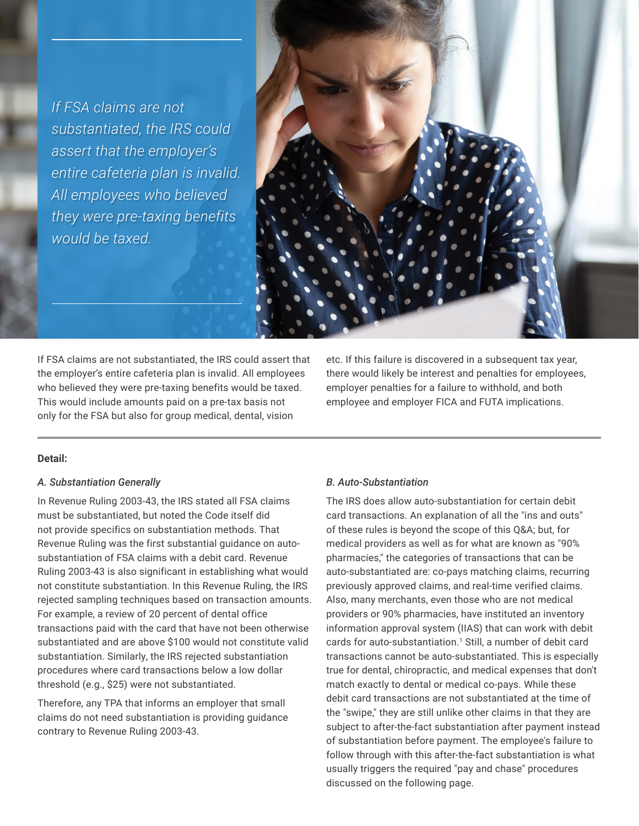*If FSA claims are not substantiated, the IRS could assert that the employer's entire cafeteria plan is invalid. All employees who believed they were pre-taxing benefits would be taxed.*



If FSA claims are not substantiated, the IRS could assert that the employer's entire cafeteria plan is invalid. All employees who believed they were pre-taxing benefits would be taxed. This would include amounts paid on a pre-tax basis not only for the FSA but also for group medical, dental, vision

etc. If this failure is discovered in a subsequent tax year, there would likely be interest and penalties for employees, employer penalties for a failure to withhold, and both employee and employer FICA and FUTA implications.

## **Detail:**

#### *A. Substantiation Generally*

In Revenue Ruling 2003-43, the IRS stated all FSA claims must be substantiated, but noted the Code itself did not provide specifics on substantiation methods. That Revenue Ruling was the first substantial guidance on autosubstantiation of FSA claims with a debit card. Revenue Ruling 2003-43 is also significant in establishing what would not constitute substantiation. In this Revenue Ruling, the IRS rejected sampling techniques based on transaction amounts. For example, a review of 20 percent of dental office transactions paid with the card that have not been otherwise substantiated and are above \$100 would not constitute valid substantiation. Similarly, the IRS rejected substantiation procedures where card transactions below a low dollar threshold (e.g., \$25) were not substantiated.

Therefore, any TPA that informs an employer that small claims do not need substantiation is providing guidance contrary to Revenue Ruling 2003-43.

#### *B. Auto-Substantiation*

The IRS does allow auto-substantiation for certain debit card transactions. An explanation of all the "ins and outs" of these rules is beyond the scope of this Q&A; but, for medical providers as well as for what are known as "90% pharmacies," the categories of transactions that can be auto-substantiated are: co-pays matching claims, recurring previously approved claims, and real-time verified claims. Also, many merchants, even those who are not medical providers or 90% pharmacies, have instituted an inventory information approval system (IIAS) that can work with debit cards for auto-substantiation.<sup>1</sup> Still, a number of debit card transactions cannot be auto-substantiated. This is especially true for dental, chiropractic, and medical expenses that don't match exactly to dental or medical co-pays. While these debit card transactions are not substantiated at the time of the "swipe," they are still unlike other claims in that they are subject to after-the-fact substantiation after payment instead of substantiation before payment. The employee's failure to follow through with this after-the-fact substantiation is what usually triggers the required "pay and chase" procedures discussed on the following page.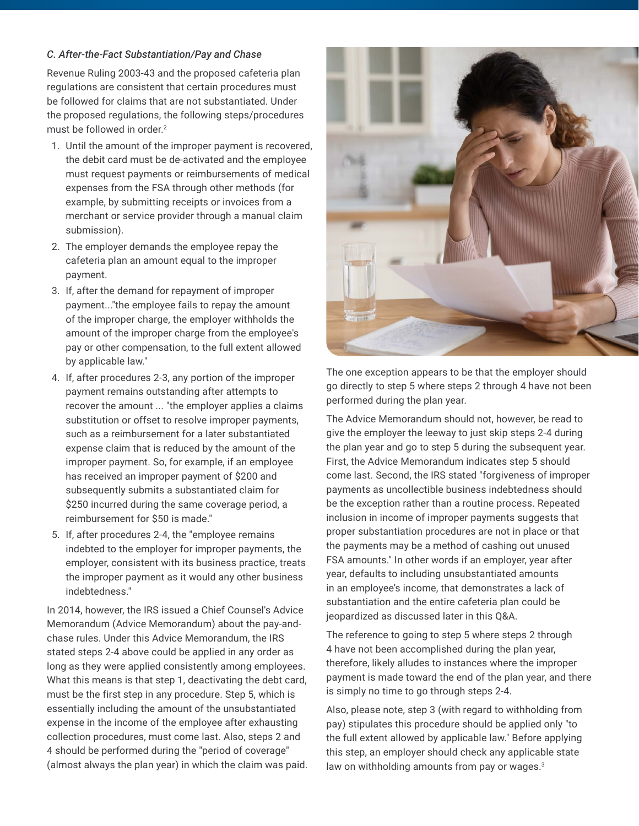#### *C. After-the-Fact Substantiation/Pay and Chase*

Revenue Ruling 2003-43 and the proposed cafeteria plan regulations are consistent that certain procedures must be followed for claims that are not substantiated. Under the proposed regulations, the following steps/procedures must be followed in order.<sup>2</sup>

- 1. Until the amount of the improper payment is recovered, the debit card must be de-activated and the employee must request payments or reimbursements of medical expenses from the FSA through other methods (for example, by submitting receipts or invoices from a merchant or service provider through a manual claim submission).
- 2. The employer demands the employee repay the cafeteria plan an amount equal to the improper payment.
- 3. If, after the demand for repayment of improper payment..."the employee fails to repay the amount of the improper charge, the employer withholds the amount of the improper charge from the employee's pay or other compensation, to the full extent allowed by applicable law."
- 4. If, after procedures 2-3, any portion of the improper payment remains outstanding after attempts to recover the amount ... "the employer applies a claims substitution or offset to resolve improper payments, such as a reimbursement for a later substantiated expense claim that is reduced by the amount of the improper payment. So, for example, if an employee has received an improper payment of \$200 and subsequently submits a substantiated claim for \$250 incurred during the same coverage period, a reimbursement for \$50 is made."
- 5. If, after procedures 2-4, the "employee remains indebted to the employer for improper payments, the employer, consistent with its business practice, treats the improper payment as it would any other business indebtedness."

In 2014, however, the IRS issued a Chief Counsel's Advice Memorandum (Advice Memorandum) about the pay-andchase rules. Under this Advice Memorandum, the IRS stated steps 2-4 above could be applied in any order as long as they were applied consistently among employees. What this means is that step 1, deactivating the debt card, must be the first step in any procedure. Step 5, which is essentially including the amount of the unsubstantiated expense in the income of the employee after exhausting collection procedures, must come last. Also, steps 2 and 4 should be performed during the "period of coverage" (almost always the plan year) in which the claim was paid.



The one exception appears to be that the employer should go directly to step 5 where steps 2 through 4 have not been performed during the plan year.

The Advice Memorandum should not, however, be read to give the employer the leeway to just skip steps 2-4 during the plan year and go to step 5 during the subsequent year. First, the Advice Memorandum indicates step 5 should come last. Second, the IRS stated "forgiveness of improper payments as uncollectible business indebtedness should be the exception rather than a routine process. Repeated inclusion in income of improper payments suggests that proper substantiation procedures are not in place or that the payments may be a method of cashing out unused FSA amounts." In other words if an employer, year after year, defaults to including unsubstantiated amounts in an employee's income, that demonstrates a lack of substantiation and the entire cafeteria plan could be jeopardized as discussed later in this Q&A.

The reference to going to step 5 where steps 2 through 4 have not been accomplished during the plan year, therefore, likely alludes to instances where the improper payment is made toward the end of the plan year, and there is simply no time to go through steps 2-4.

Also, please note, step 3 (with regard to withholding from pay) stipulates this procedure should be applied only "to the full extent allowed by applicable law." Before applying this step, an employer should check any applicable state law on withholding amounts from pay or wages.<sup>3</sup>